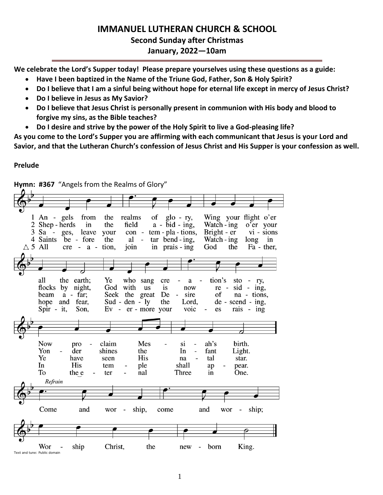# **IMMANUEL LUTHERAN CHURCH & SCHOOL Second Sunday after Christmas January, 2022—10am**

**We celebrate the Lord's Supper today! Please prepare yourselves using these questions as a guide:**

- **Have I been baptized in the Name of the Triune God, Father, Son & Holy Spirit?**
- **Do I believe that I am a sinful being without hope for eternal life except in mercy of Jesus Christ?**
- **Do I believe in Jesus as My Savior?**
- **Do I believe that Jesus Christ is personally present in communion with His body and blood to forgive my sins, as the Bible teaches?**
- **Do I desire and strive by the power of the Holy Spirit to live a God-pleasing life?**

**As you come to the Lord's Supper you are affirming with each communicant that Jesus is your Lord and Savior, and that the Lutheran Church's confession of Jesus Christ and His Supper is your confession as well.**

# **Prelude**

Wing your flight o'er  $1$  An - gels from the realms of  $g$ lo - ry, 2 Shep - herds in the field  $a - bid - ing$ , Watch - ing o'er your  $3$  Sa  $$ ges, leave your  $con$  - tem - pla - tions, Bright - er  $vi - sions$ 4 Saints be - fore the al  $tar$  bend - ing, Watch - ing  $\sim$ long in  $\triangle$  5 All  $cre - a - tion$ . join in prais - ing God the Fa - ther, all the earth: Ye who sang cre  $\overline{\phantom{a}}$  $a$ tion's  $sto - ry$ , flocks by night, God with us is now re  $sid$  ing, beam  $a - far;$ Seek the great De  $\overline{a}$ sire of na - tions, hope and fear, Sud - den -  $ly$ the Lord,  $de - second - ing$ , Spir - it, Son.  $Ev - er - more your$ voic es rais -  $ing$ **Now** pro claim Mes si ah's birth.  $\overline{a}$ Yon der shines the In fant Light.  $\overline{a}$ Ye have His tal seen na star. In His shall tem ple ap pear. To the e  $\overline{a}$ ter nal Three in One. Refrain Come and ship, come and ship; wor wor  $\overline{\phantom{a}}$ Christ, the King. Wor ship new  $\overline{\phantom{a}}$ born Text and tune: Public domain

**Hymn: #367** "Angels from the Realms of Glory"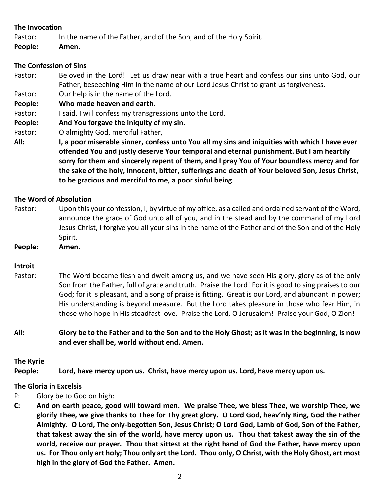### **The Invocation**

- Pastor: In the name of the Father, and of the Son, and of the Holy Spirit.
- **People: Amen.**

# **The Confession of Sins**

- Pastor: Beloved in the Lord! Let us draw near with a true heart and confess our sins unto God, our Father, beseeching Him in the name of our Lord Jesus Christ to grant us forgiveness.
- Pastor: Our help is in the name of the Lord.

**People: Who made heaven and earth.**

- Pastor: I said, I will confess my transgressions unto the Lord.
- **People: And You forgave the iniquity of my sin.**
- Pastor: O almighty God, merciful Father,
- **All: I, a poor miserable sinner, confess unto You all my sins and iniquities with which I have ever offended You and justly deserve Your temporal and eternal punishment. But I am heartily sorry for them and sincerely repent of them, and I pray You of Your boundless mercy and for the sake of the holy, innocent, bitter, sufferings and death of Your beloved Son, Jesus Christ, to be gracious and merciful to me, a poor sinful being**

# **The Word of Absolution**

Pastor: Upon this your confession, I, by virtue of my office, as a called and ordained servant of the Word, announce the grace of God unto all of you, and in the stead and by the command of my Lord Jesus Christ, I forgive you all your sins in the name of the Father and of the Son and of the Holy Spirit.

**People: Amen.**

# **Introit**

- Pastor: The Word became flesh and dwelt among us, and we have seen His glory, glory as of the only Son from the Father, full of grace and truth. Praise the Lord! For it is good to sing praises to our God; for it is pleasant, and a song of praise is fitting. Great is our Lord, and abundant in power; His understanding is beyond measure. But the Lord takes pleasure in those who fear Him, in those who hope in His steadfast love. Praise the Lord, O Jerusalem! Praise your God, O Zion!
- **All: Glory be to the Father and to the Son and to the Holy Ghost; as it was in the beginning, is now and ever shall be, world without end. Amen.**

# **The Kyrie**

**People: Lord, have mercy upon us. Christ, have mercy upon us. Lord, have mercy upon us.**

# **The Gloria in Excelsis**

- P: Glory be to God on high:
- **C: And on earth peace, good will toward men. We praise Thee, we bless Thee, we worship Thee, we glorify Thee, we give thanks to Thee for Thy great glory. O Lord God, heav'nly King, God the Father Almighty. O Lord, The only-begotten Son, Jesus Christ; O Lord God, Lamb of God, Son of the Father, that takest away the sin of the world, have mercy upon us. Thou that takest away the sin of the world, receive our prayer. Thou that sittest at the right hand of God the Father, have mercy upon us. For Thou only art holy; Thou only art the Lord. Thou only, O Christ, with the Holy Ghost, art most high in the glory of God the Father. Amen.**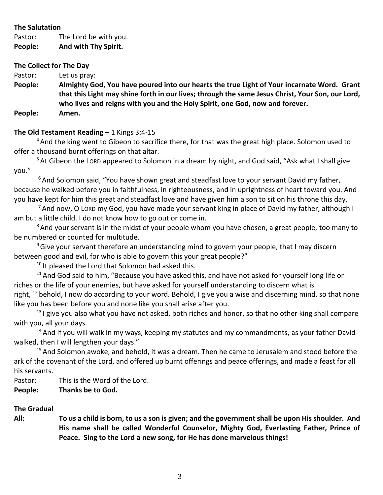# **The Salutation**

Pastor: The Lord be with you. **People: And with Thy Spirit.**

### **The Collect for The Day**

Pastor: Let us pray:

**People: Almighty God, You have poured into our hearts the true Light of Your incarnate Word. Grant that this Light may shine forth in our lives; through the same Jesus Christ, Your Son, our Lord, who lives and reigns with you and the Holy Spirit, one God, now and forever. People: Amen.**

# **The Old Testament Reading –** 1 Kings 3:4-15

<sup>4</sup> And the king went to Gibeon to sacrifice there, for that was the great high place. Solomon used to offer a thousand burnt offerings on that altar.

<sup>5</sup> At Gibeon the LORD appeared to Solomon in a dream by night, and God said, "Ask what I shall give you."

 $6$ And Solomon said, "You have shown great and steadfast love to your servant David my father, because he walked before you in faithfulness, in righteousness, and in uprightness of heart toward you. And you have kept for him this great and steadfast love and have given him a son to sit on his throne this day.

 $<sup>7</sup>$  And now, O Lord my God, you have made your servant king in place of David my father, although I</sup> am but a little child. I do not know how to go out or come in.

<sup>8</sup> And your servant is in the midst of your people whom you have chosen, a great people, too many to be numbered or counted for multitude.

 $9$  Give your servant therefore an understanding mind to govern your people, that I may discern between good and evil, for who is able to govern this your great people?"

<sup>10</sup> It pleased the Lord that Solomon had asked this.

 $11$  And God said to him, "Because you have asked this, and have not asked for yourself long life or riches or the life of your enemies, but have asked for yourself understanding to discern what is right, <sup>12</sup> behold, I now do according to your word. Behold, I give you a wise and discerning mind, so that none like you has been before you and none like you shall arise after you.

 $13$  I give you also what you have not asked, both riches and honor, so that no other king shall compare with you, all your days.

 $14$  And if you will walk in my ways, keeping my statutes and my commandments, as your father David walked, then I will lengthen your days."

<sup>15</sup> And Solomon awoke, and behold, it was a dream. Then he came to Jerusalem and stood before the ark of the covenant of the Lord, and offered up burnt offerings and peace offerings, and made a feast for all his servants.

Pastor: This is the Word of the Lord.

**People: Thanks be to God.**

# **The Gradual**

**All: To us a child is born, to us a son is given; and the government shall be upon His shoulder. And His name shall be called Wonderful Counselor, Mighty God, Everlasting Father, Prince of Peace. Sing to the Lord a new song, for He has done marvelous things!**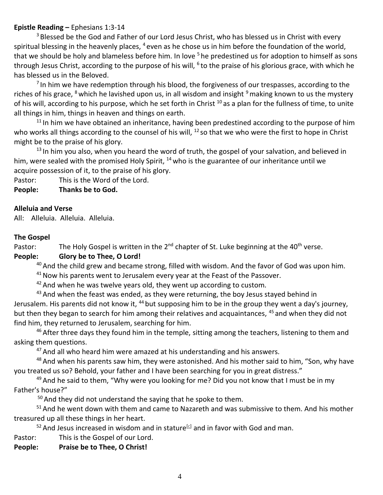### **Epistle Reading –** Ephesians 1:3-14

<sup>3</sup> Blessed be the God and Father of our Lord Jesus Christ, who has blessed us in Christ with every spiritual blessing in the heavenly places,  $4$  even as he chose us in him before the foundation of the world, that we should be holy and blameless before him. In love <sup>5</sup> he predestined us for adoption to himself as sons through Jesus Christ, according to the purpose of his will, <sup>6</sup> to the praise of his glorious grace, with which he has blessed us in the Beloved.

 $<sup>7</sup>$  In him we have redemption through his blood, the forgiveness of our trespasses, according to the</sup> riches of his grace,  $^8$  which he lavished upon us, in all wisdom and insight  $^9$  making known to us the mystery of his will, according to his purpose, which he set forth in Christ  $10$  as a plan for the fullness of time, to unite all things in him, things in heaven and things on earth.

 $11$  In him we have obtained an inheritance, having been predestined according to the purpose of him who works all things according to the counsel of his will, <sup>12</sup> so that we who were the first to hope in Christ might be to the praise of his glory.

 $13$  In him you also, when you heard the word of truth, the gospel of your salvation, and believed in him, were sealed with the promised Holy Spirit,  $^{14}$  who is the guarantee of our inheritance until we acquire possession of it, to the praise of his glory.

Pastor: This is the Word of the Lord.

**People: Thanks be to God.**

### **Alleluia and Verse**

All: Alleluia. Alleluia. Alleluia.

### **The Gospel**

Pastor: The Holy Gospel is written in the  $2^{nd}$  chapter of St. Luke beginning at the 40<sup>th</sup> verse.

# **People: Glory be to Thee, O Lord!**

<sup>40</sup> And the child grew and became strong, filled with wisdom. And the favor of God was upon him.

<sup>41</sup> Now his parents went to Jerusalem every year at the Feast of the Passover.

 $42$  And when he was twelve years old, they went up according to custom.

43 And when the feast was ended, as they were returning, the boy Jesus stayed behind in Jerusalem. His parents did not know it, <sup>44</sup> but supposing him to be in the group they went a day's journey, but then they began to search for him among their relatives and acquaintances, <sup>45</sup> and when they did not find him, they returned to Jerusalem, searching for him.

 $46$  After three days they found him in the temple, sitting among the teachers, listening to them and asking them questions.

<sup>47</sup> And all who heard him were amazed at his understanding and his answers.

<sup>48</sup> And when his parents saw him, they were astonished. And his mother said to him, "Son, why have you treated us so? Behold, your father and I have been searching for you in great distress."

 $49$  And he said to them, "Why were you looking for me? Did you not know that I must be in my Father's house?"

 $50$  And they did not understand the saying that he spoke to them.

<sup>51</sup> And he went down with them and came to Nazareth and was submissive to them. And his mother treasured up all these things in her heart.

 $52$  And Jesus increased in wisdom and in stature<sup>[\[c\]](https://www.biblegateway.com/passage/?search=Luke+2%3A40-52&version=ESV#fen-ESV-25017c)</sup> and in favor with God and man.

- Pastor: This is the Gospel of our Lord.
- **People: Praise be to Thee, O Christ!**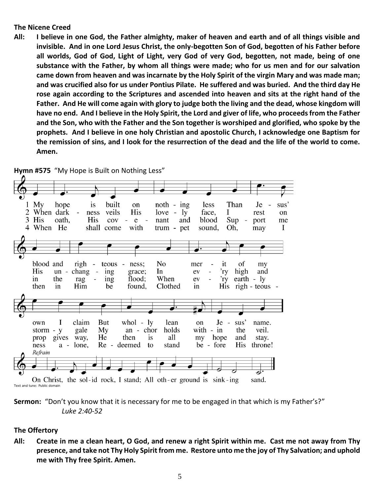#### **The Nicene Creed**

**All: I believe in one God, the Father almighty, maker of heaven and earth and of all things visible and invisible. And in one Lord Jesus Christ, the only-begotten Son of God, begotten of his Father before all worlds, God of God, Light of Light, very God of very God, begotten, not made, being of one substance with the Father, by whom all things were made; who for us men and for our salvation came down from heaven and was incarnate by the Holy Spirit of the virgin Mary and was made man; and was crucified also for us under Pontius Pilate. He suffered and was buried. And the third day He rose again according to the Scriptures and ascended into heaven and sits at the right hand of the Father. And He will come again with glory to judge both the living and the dead, whose kingdom will have no end. And I believe in the Holy Spirit, the Lord and giver of life, who proceeds from the Father and the Son, who with the Father and the Son together is worshiped and glorified, who spoke by the prophets. And I believe in one holy Christian and apostolic Church, I acknowledge one Baptism for the remission of sins, and I look for the resurrection of the dead and the life of the world to come. Amen.**



**Hymn #575** "My Hope is Built on Nothing Less"



# **The Offertory**

**All: Create in me a clean heart, O God, and renew a right Spirit within me. Cast me not away from Thy presence, and take not Thy Holy Spirit from me. Restore unto me the joy of Thy Salvation; and uphold me with Thy free Spirit. Amen.**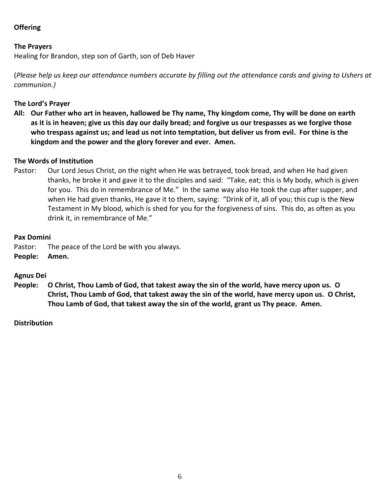# **Offering**

### **The Prayers**

Healing for Brandon, step son of Garth, son of Deb Haver

(*Please help us keep our attendance numbers accurate by filling out the attendance cards and giving to Ushers at communion.)*

#### **The Lord's Prayer**

**All: Our Father who art in heaven, hallowed be Thy name, Thy kingdom come, Thy will be done on earth as it is in heaven; give us this day our daily bread; and forgive us our trespasses as we forgive those who trespass against us; and lead us not into temptation, but deliver us from evil. For thine is the kingdom and the power and the glory forever and ever. Amen.**

### **The Words of Institution**

Pastor: Our Lord Jesus Christ, on the night when He was betrayed, took bread, and when He had given thanks, he broke it and gave it to the disciples and said: "Take, eat; this is My body, which is given for you. This do in remembrance of Me." In the same way also He took the cup after supper, and when He had given thanks, He gave it to them, saying: "Drink of it, all of you; this cup is the New Testament in My blood, which is shed for you for the forgiveness of sins. This do, as often as you drink it, in remembrance of Me."

#### **Pax Domini**

- Pastor: The peace of the Lord be with you always.
- **People: Amen.**

# **Agnus Dei**

**People: O Christ, Thou Lamb of God, that takest away the sin of the world, have mercy upon us. O Christ, Thou Lamb of God, that takest away the sin of the world, have mercy upon us. O Christ, Thou Lamb of God, that takest away the sin of the world, grant us Thy peace. Amen.**

#### **Distribution**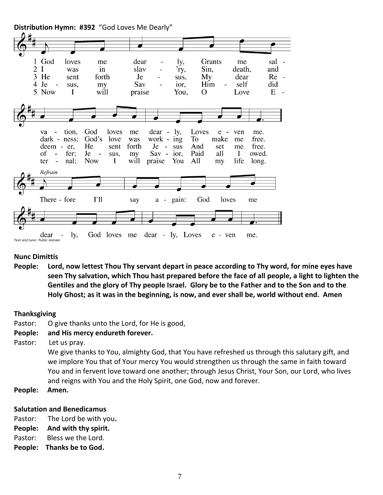

# **Nunc Dimittis**

**People: Lord, now lettest Thou Thy servant depart in peace according to Thy word, for mine eyes have seen Thy salvation, which Thou hast prepared before the face of all people, a light to lighten the Gentiles and the glory of Thy people Israel. Glory be to the Father and to the Son and to the Holy Ghost; as it was in the beginning, is now, and ever shall be, world without end. Amen**

# **Thanksgiving**

Pastor: O give thanks unto the Lord, for He is good,

# **People: and His mercy endureth forever.**

Pastor: Let us pray.

We give thanks to You, almighty God, that You have refreshed us through this salutary gift, and we implore You that of Your mercy You would strengthen us through the same in faith toward You and in fervent love toward one another; through Jesus Christ, Your Son, our Lord, who lives and reigns with You and the Holy Spirit, one God, now and forever.

**People: Amen.**

# **Salutation and Benedicamus**

- Pastor: The Lord be with you**.**
- **People: And with thy spirit.**
- Pastor: Bless we the Lord.
- **People: Thanks be to God.**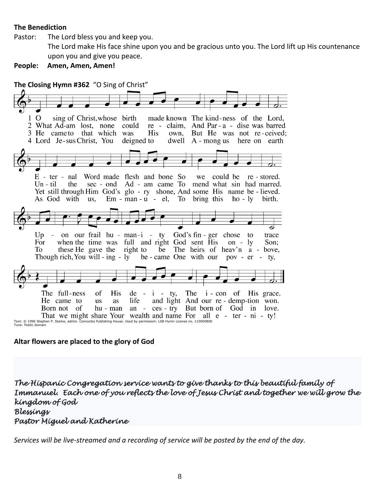#### **The Benediction**

Pastor: The Lord bless you and keep you.

The Lord make His face shine upon you and be gracious unto you. The Lord lift up His countenance upon you and give you peace.

**People: Amen, Amen, Amen!**

**The Closing Hymn #362** "O Sing of Christ" 1 O sing of Christ, whose birth made known The kind-ness of the Lord, 2 What Ad-am lost, none could re - claim, And Par - a - dise was barred 3 He came to that which was His But He was not re-ceived; own, 4 Lord Je-sus Christ, You deigned to dwell A - mong us here on earth  $E$  - ter - nal Word made flesh and bone So we could be re-stored. sec - ond Ad - am came To mend what sin had marred.  $Un - til$ the Yet still through Him God's glo - ry shone, And some His name be - lieved. As God with us,  $Em - man - u - el$ , To bring this ho-ly birth. ٰ⇔  $Up$ on our frail hu - man-i - ty God's fin - ger chose to trace when the time was full and right God sent His For on -  $ly$ Son: these He gave the right to be The heirs of heav'n a - bove, To Though rich, You will - ing - ly be - came One with our  $pov - er - ty$ The full-ness **His** The *i* - con of His grace. of  $de - i - ty$ , and light And our re-demp-tion won. He came to **us** as life ces - try But born of God in love. Born not of hu - man an  $\sim$ That we might share Your wealth and name For all e - ter - ni - ty! Text: © 1996 Stephen P. Starke, admin. Concordia Publishing House. Used by permission: LSB Hymn License no. 110000800 Tune: Public domain

**Altar flowers are placed to the glory of God**

*The Hispanic Congregation service wants to give thanks to this beautiful family of Immanuel. Each one of you reflects the love of Jesus Christ and together we will grow the kingdom of God Blessings Pastor Miguel and Katherine* 

*Services will be live-streamed and a recording of service will be posted by the end of the day.*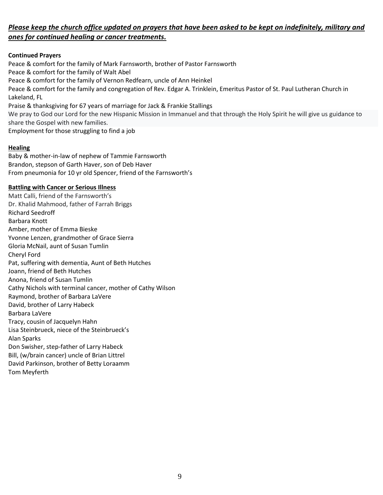# *Please keep the church office updated on prayers that have been asked to be kept on indefinitely, military and ones for continued healing or cancer treatments.*

#### **Continued Prayers**

Peace & comfort for the family of Mark Farnsworth, brother of Pastor Farnsworth Peace & comfort for the family of Walt Abel Peace & comfort for the family of Vernon Redfearn, uncle of Ann Heinkel Peace & comfort for the family and congregation of Rev. Edgar A. Trinklein, Emeritus Pastor of St. Paul Lutheran Church in Lakeland, FL Praise & thanksgiving for 67 years of marriage for Jack & Frankie Stallings We pray to God our Lord for the new Hispanic Mission in Immanuel and that through the Holy Spirit he will give us guidance to share the Gospel with new families. Employment for those struggling to find a job

#### **Healing**

Baby & mother-in-law of nephew of Tammie Farnsworth Brandon, stepson of Garth Haver, son of Deb Haver From pneumonia for 10 yr old Spencer, friend of the Farnsworth's

#### **Battling with Cancer or Serious Illness**

Matt Calli, friend of the Farnsworth's Dr. Khalid Mahmood, father of Farrah Briggs Richard Seedroff Barbara Knott Amber, mother of Emma Bieske Yvonne Lenzen, grandmother of Grace Sierra Gloria McNail, aunt of Susan Tumlin Cheryl Ford Pat, suffering with dementia, Aunt of Beth Hutches Joann, friend of Beth Hutches Anona, friend of Susan Tumlin Cathy Nichols with terminal cancer, mother of Cathy Wilson Raymond, brother of Barbara LaVere David, brother of Larry Habeck Barbara LaVere Tracy, cousin of Jacquelyn Hahn Lisa Steinbrueck, niece of the Steinbrueck's Alan Sparks Don Swisher, step-father of Larry Habeck Bill, (w/brain cancer) uncle of Brian Littrel David Parkinson, brother of Betty Loraamm Tom Meyferth